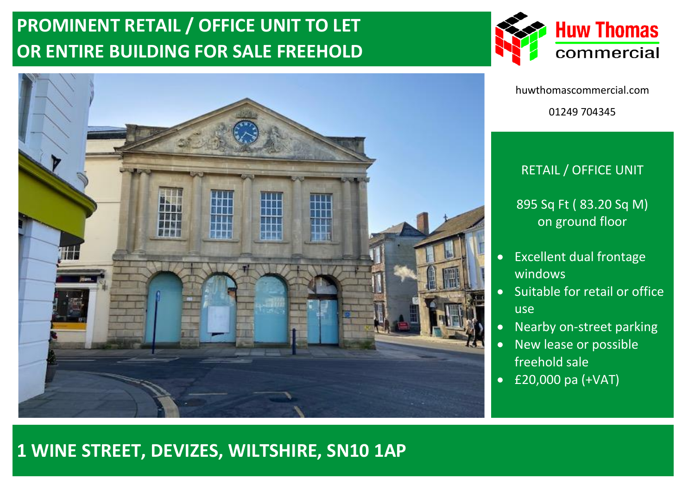# **PROMINENT RETAIL / OFFICE UNIT TO LET OR ENTIRE BUILDING FOR SALE FREEHOLD**





huwthomascommercial.com 01249 704345

### RETAIL / OFFICE UNIT

895 Sq Ft ( 83.20 Sq M) on ground floor

- Excellent dual frontage windows
- Suitable for retail or office use
- Nearby on-street parking
- New lease or possible freehold sale
- £20,000 pa (+VAT)

## **1 WINE STREET, DEVIZES, WILTSHIRE, SN10 1AP**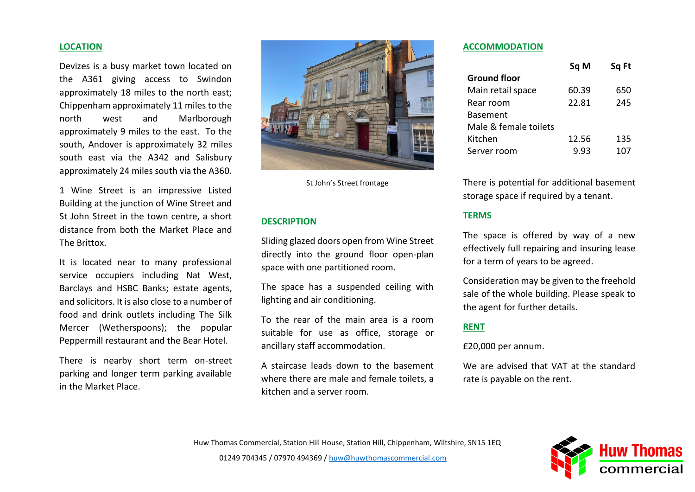#### **LOCATION**

Devizes is a busy market town located on the A361 giving access to Swindon approximately 18 miles to the north east; Chippenham approximately 11 miles to the north west and Marlborough approximately 9 miles to the east. To the south, Andover is approximately 32 miles south east via the A342 and Salisbury approximately 24 miles south via the A360.

1 Wine Street is an impressive Listed Building at the junction of Wine Street and St John Street in the town centre, a short distance from both the Market Place and The Brittox.

It is located near to many professional service occupiers including Nat West, Barclays and HSBC Banks; estate agents, and solicitors. It is also close to a number of food and drink outlets including The Silk Mercer (Wetherspoons); the popular Peppermill restaurant and the Bear Hotel.

There is nearby short term on-street parking and longer term parking available in the Market Place.



St John's Street frontage

#### **DESCRIPTION**

Sliding glazed doors open from Wine Street directly into the ground floor open-plan space with one partitioned room.

The space has a suspended ceiling with lighting and air conditioning.

To the rear of the main area is a room suitable for use as office, storage or ancillary staff accommodation.

A staircase leads down to the basement where there are male and female toilets, a kitchen and a server room.

#### **ACCOMMODATION**

|                       | Sq M  | Sq Ft |
|-----------------------|-------|-------|
| <b>Ground floor</b>   |       |       |
| Main retail space     | 60.39 | 650   |
| Rear room             | 22.81 | 245   |
| <b>Basement</b>       |       |       |
| Male & female toilets |       |       |
| Kitchen               | 12.56 | 135   |
| Server room           | 9.93  | 107   |

There is potential for additional basement storage space if required by a tenant.

#### **TERMS**

The space is offered by way of a new effectively full repairing and insuring lease for a term of years to be agreed.

Consideration may be given to the freehold sale of the whole building. Please speak to the agent for further details.

#### **RENT**

£20,000 per annum.

We are advised that VAT at the standard rate is payable on the rent.